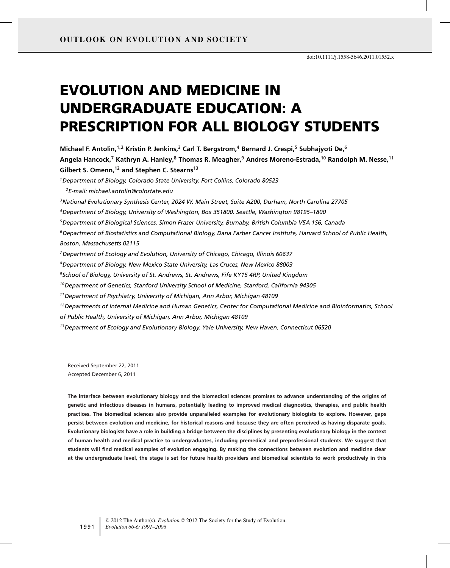# **EVOLUTION AND MEDICINE IN UNDERGRADUATE EDUCATION: A PRESCRIPTION FOR ALL BIOLOGY STUDENTS**

**Michael F. Antolin,1,<sup>2</sup> Kristin P. Jenkins,<sup>3</sup> Carl T. Bergstrom,4 Bernard J. Crespi,5 Subhajyoti De,6 Angela Hancock,<sup>7</sup> Kathryn A. Hanley,<sup>8</sup> Thomas R. Meagher,9 Andres Moreno-Estrada,<sup>10</sup> Randolph M. Nesse,<sup>11</sup> Gilbert S. Omenn,12 and Stephen C. Stearns13** *1Department of Biology, Colorado State University, Fort Collins, Colorado 80523*

*2E-mail: michael.antolin@colostate.edu*

*3National Evolutionary Synthesis Center, 2024 W. Main Street, Suite A200, Durham, North Carolina 27705*

*4Department of Biology, University of Washington, Box 351800. Seattle, Washington 98195–1800*

*5Department of Biological Sciences, Simon Fraser University, Burnaby, British Columbia V5A 1S6, Canada*

*6Department of Biostatistics and Computational Biology, Dana Farber Cancer Institute, Harvard School of Public Health, Boston, Massachusetts 02115*

*7Department of Ecology and Evolution, University of Chicago, Chicago, Illinois 60637*

*8Department of Biology, New Mexico State University, Las Cruces, New Mexico 88003*

*9School of Biology, University of St. Andrews, St. Andrews, Fife KY15 4RP, United Kingdom*

*10Department of Genetics, Stanford University School of Medicine, Stanford, California 94305*

*11Department of Psychiatry, University of Michigan, Ann Arbor, Michigan 48109*

*12Departments of Internal Medicine and Human Genetics, Center for Computational Medicine and Bioinformatics, School*

*of Public Health, University of Michigan, Ann Arbor, Michigan 48109*

*13Department of Ecology and Evolutionary Biology, Yale University, New Haven, Connecticut 06520*

Received September 22, 2011 Accepted December 6, 2011

**The interface between evolutionary biology and the biomedical sciences promises to advance understanding of the origins of genetic and infectious diseases in humans, potentially leading to improved medical diagnostics, therapies, and public health practices. The biomedical sciences also provide unparalleled examples for evolutionary biologists to explore. However, gaps persist between evolution and medicine, for historical reasons and because they are often perceived as having disparate goals. Evolutionary biologists have a role in building a bridge between the disciplines by presenting evolutionary biology in the context of human health and medical practice to undergraduates, including premedical and preprofessional students. We suggest that students will find medical examples of evolution engaging. By making the connections between evolution and medicine clear at the undergraduate level, the stage is set for future health providers and biomedical scientists to work productively in this**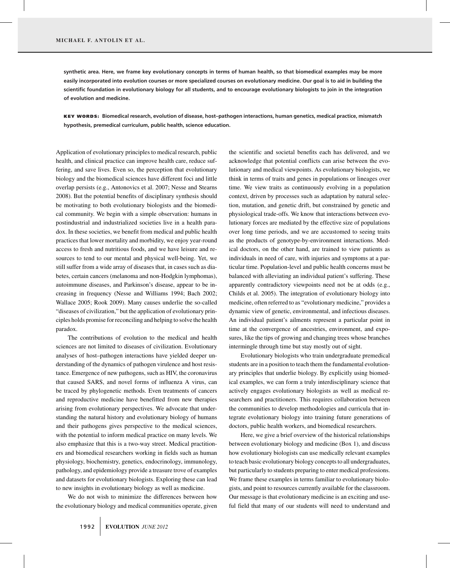**synthetic area. Here, we frame key evolutionary concepts in terms of human health, so that biomedical examples may be more easily incorporated into evolution courses or more specialized courses on evolutionary medicine. Our goal is to aid in building the scientific foundation in evolutionary biology for all students, and to encourage evolutionary biologists to join in the integration of evolution and medicine.**

**KEY WORDS: Biomedical research, evolution of disease, host–pathogen interactions, human genetics, medical practice, mismatch hypothesis, premedical curriculum, public health, science education.**

Application of evolutionary principles to medical research, public health, and clinical practice can improve health care, reduce suffering, and save lives. Even so, the perception that evolutionary biology and the biomedical sciences have different foci and little overlap persists (e.g., Antonovics et al. 2007; Nesse and Stearns 2008). But the potential benefits of disciplinary synthesis should be motivating to both evolutionary biologists and the biomedical community. We begin with a simple observation: humans in postindustrial and industrialized societies live in a health paradox. In these societies, we benefit from medical and public health practices that lower mortality and morbidity, we enjoy year-round access to fresh and nutritious foods, and we have leisure and resources to tend to our mental and physical well-being. Yet, we still suffer from a wide array of diseases that, in cases such as diabetes, certain cancers (melanoma and non-Hodgkin lymphomas), autoimmune diseases, and Parkinson's disease, appear to be increasing in frequency (Nesse and Williams 1994; Bach 2002; Wallace 2005; Rook 2009). Many causes underlie the so-called "diseases of civilization," but the application of evolutionary principles holds promise for reconciling and helping to solve the health paradox.

The contributions of evolution to the medical and health sciences are not limited to diseases of civilization. Evolutionary analyses of host–pathogen interactions have yielded deeper understanding of the dynamics of pathogen virulence and host resistance. Emergence of new pathogens, such as HIV, the coronavirus that caused SARS, and novel forms of influenza A virus, can be traced by phylogenetic methods. Even treatments of cancers and reproductive medicine have benefitted from new therapies arising from evolutionary perspectives. We advocate that understanding the natural history and evolutionary biology of humans and their pathogens gives perspective to the medical sciences, with the potential to inform medical practice on many levels. We also emphasize that this is a two-way street. Medical practitioners and biomedical researchers working in fields such as human physiology, biochemistry, genetics, endocrinology, immunology, pathology, and epidemiology provide a treasure trove of examples and datasets for evolutionary biologists. Exploring these can lead to new insights in evolutionary biology as well as medicine.

We do not wish to minimize the differences between how the evolutionary biology and medical communities operate, given the scientific and societal benefits each has delivered, and we acknowledge that potential conflicts can arise between the evolutionary and medical viewpoints. As evolutionary biologists, we think in terms of traits and genes in populations or lineages over time. We view traits as continuously evolving in a population context, driven by processes such as adaptation by natural selection, mutation, and genetic drift, but constrained by genetic and physiological trade-offs. We know that interactions between evolutionary forces are mediated by the effective size of populations over long time periods, and we are accustomed to seeing traits as the products of genotype-by-environment interactions. Medical doctors, on the other hand, are trained to view patients as individuals in need of care, with injuries and symptoms at a particular time. Population-level and public health concerns must be balanced with alleviating an individual patient's suffering. These apparently contradictory viewpoints need not be at odds (e.g., Childs et al. 2005). The integration of evolutionary biology into medicine, often referred to as "evolutionary medicine," provides a dynamic view of genetic, environmental, and infectious diseases. An individual patient's ailments represent a particular point in time at the convergence of ancestries, environment, and exposures, like the tips of growing and changing trees whose branches intermingle through time but stay mostly out of sight.

Evolutionary biologists who train undergraduate premedical students are in a position to teach them the fundamental evolutionary principles that underlie biology. By explicitly using biomedical examples, we can form a truly interdisciplinary science that actively engages evolutionary biologists as well as medical researchers and practitioners. This requires collaboration between the communities to develop methodologies and curricula that integrate evolutionary biology into training future generations of doctors, public health workers, and biomedical researchers.

Here, we give a brief overview of the historical relationships between evolutionary biology and medicine (Box 1), and discuss how evolutionary biologists can use medically relevant examples to teach basic evolutionary biology concepts to all undergraduates, but particularly to students preparing to enter medical professions. We frame these examples in terms familiar to evolutionary biologists, and point to resources currently available for the classroom. Our message is that evolutionary medicine is an exciting and useful field that many of our students will need to understand and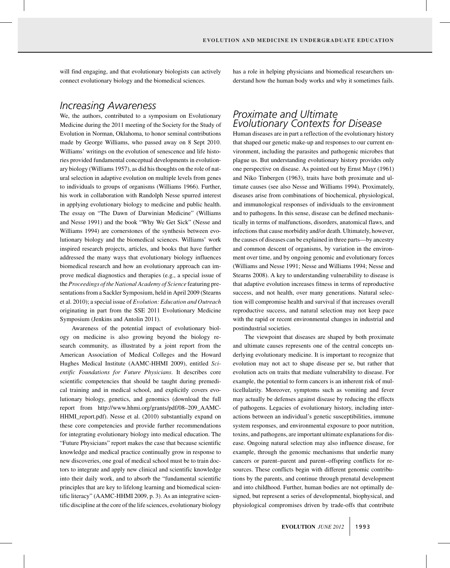will find engaging, and that evolutionary biologists can actively connect evolutionary biology and the biomedical sciences.

has a role in helping physicians and biomedical researchers understand how the human body works and why it sometimes fails.

### *Increasing Awareness*

We, the authors, contributed to a symposium on Evolutionary Medicine during the 2011 meeting of the Society for the Study of Evolution in Norman, Oklahoma, to honor seminal contributions made by George Williams, who passed away on 8 Sept 2010. Williams' writings on the evolution of senescence and life histories provided fundamental conceptual developments in evolutionary biology (Williams 1957), as did his thoughts on the role of natural selection in adaptive evolution on multiple levels from genes to individuals to groups of organisms (Williams 1966). Further, his work in collaboration with Randolph Nesse spurred interest in applying evolutionary biology to medicine and public health. The essay on "The Dawn of Darwinian Medicine" (Williams and Nesse 1991) and the book "Why We Get Sick" (Nesse and Williams 1994) are cornerstones of the synthesis between evolutionary biology and the biomedical sciences. Williams' work inspired research projects, articles, and books that have further addressed the many ways that evolutionary biology influences biomedical research and how an evolutionary approach can improve medical diagnostics and therapies (e.g., a special issue of the *Proceedings of the National Academy of Science* featuring presentations from a Sackler Symposium, held in April 2009 (Stearns et al. 2010); a special issue of *Evolution: Education and Outreach* originating in part from the SSE 2011 Evolutionary Medicine Symposium (Jenkins and Antolin 2011).

Awareness of the potential impact of evolutionary biology on medicine is also growing beyond the biology research community, as illustrated by a joint report from the American Association of Medical Colleges and the Howard Hughes Medical Institute (AAMC-HHMI 2009), entitled *Scientific Foundations for Future Physicians*. It describes core scientific competencies that should be taught during premedical training and in medical school, and explicitly covers evolutionary biology, genetics, and genomics (download the full report from http://www.hhmi.org/grants/pdf/08–209\_AAMC-HHMI\_report.pdf). Nesse et al. (2010) substantially expand on these core competencies and provide further recommendations for integrating evolutionary biology into medical education. The "Future Physicians" report makes the case that because scientific knowledge and medical practice continually grow in response to new discoveries, one goal of medical school must be to train doctors to integrate and apply new clinical and scientific knowledge into their daily work, and to absorb the "fundamental scientific principles that are key to lifelong learning and biomedical scientific literacy" (AAMC-HHMI 2009, p. 3). As an integrative scientific discipline at the core of the life sciences, evolutionary biology

### *Proximate and Ultimate Evolutionary Contexts for Disease*

Human diseases are in part a reflection of the evolutionary history that shaped our genetic make-up and responses to our current environment, including the parasites and pathogenic microbes that plague us. But understanding evolutionary history provides only one perspective on disease. As pointed out by Ernst Mayr (1961) and Niko Tinbergen (1963), traits have both proximate and ultimate causes (see also Nesse and Williams 1994). Proximately, diseases arise from combinations of biochemical, physiological, and immunological responses of individuals to the environment and to pathogens. In this sense, disease can be defined mechanistically in terms of malfunctions, disorders, anatomical flaws, and infections that cause morbidity and/or death. Ultimately, however, the causes of diseases can be explained in three parts—by ancestry and common descent of organisms, by variation in the environment over time, and by ongoing genomic and evolutionary forces (Williams and Nesse 1991; Nesse and Williams 1994; Nesse and Stearns 2008). A key to understanding vulnerability to disease is that adaptive evolution increases fitness in terms of reproductive success, and not health, over many generations. Natural selection will compromise health and survival if that increases overall reproductive success, and natural selection may not keep pace with the rapid or recent environmental changes in industrial and postindustrial societies.

The viewpoint that diseases are shaped by both proximate and ultimate causes represents one of the central concepts underlying evolutionary medicine. It is important to recognize that evolution may not act to shape disease per se, but rather that evolution acts on traits that mediate vulnerability to disease. For example, the potential to form cancers is an inherent risk of multicellularity. Moreover, symptoms such as vomiting and fever may actually be defenses against disease by reducing the effects of pathogens. Legacies of evolutionary history, including interactions between an individual's genetic susceptibilities, immune system responses, and environmental exposure to poor nutrition, toxins, and pathogens, are important ultimate explanations for disease. Ongoing natural selection may also influence disease, for example, through the genomic mechanisms that underlie many cancers or parent–parent and parent–offspring conflicts for resources. These conflicts begin with different genomic contributions by the parents, and continue through prenatal development and into childhood. Further, human bodies are not optimally designed, but represent a series of developmental, biophysical, and physiological compromises driven by trade-offs that contribute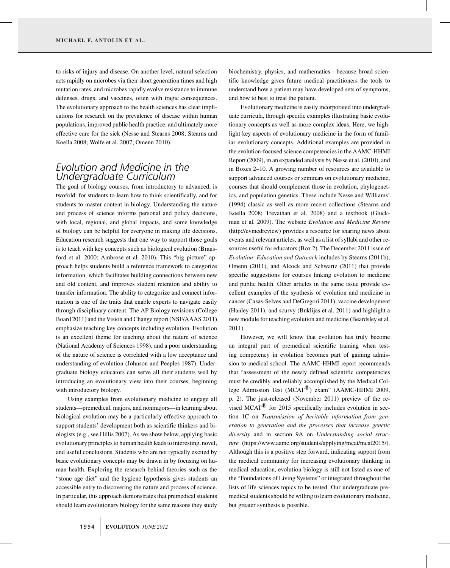to risks of injury and disease. On another level, natural selection acts rapidly on microbes via their short generation times and high mutation rates, and microbes rapidly evolve resistance to immune defenses, drugs, and vaccines, often with tragic consequences. The evolutionary approach to the health sciences has clear implications for research on the prevalence of disease within human populations, improved public health practice, and ultimately more effective care for the sick (Nesse and Stearns 2008; Stearns and Koella 2008; Wolfe et al. 2007; Omenn 2010).

### *Evolution and Medicine in the Undergraduate Curriculum*

The goal of biology courses, from introductory to advanced, is twofold: for students to learn how to think scientifically, and for students to master content in biology. Understanding the nature and process of science informs personal and policy decisions, with local, regional, and global impacts, and some knowledge of biology can be helpful for everyone in making life decisions. Education research suggests that one way to support those goals is to teach with key concepts such as biological evolution (Bransford et al. 2000; Ambrose et al. 2010). This "big picture" approach helps students build a reference framework to categorize information, which facilitates building connections between new and old content, and improves student retention and ability to transfer information. The ability to categorize and connect information is one of the traits that enable experts to navigate easily through disciplinary content. The AP Biology revisions (College Board 2011) and the Vision and Change report (NSF/AAAS 2011) emphasize teaching key concepts including evolution. Evolution is an excellent theme for teaching about the nature of science (National Academy of Sciences 1998), and a poor understanding of the nature of science is correlated with a low acceptance and understanding of evolution (Johnson and Peeples 1987). Undergraduate biology educators can serve all their students well by introducing an evolutionary view into their courses, beginning with introductory biology.

Using examples from evolutionary medicine to engage all students—premedical, majors, and nonmajors—in learning about biological evolution may be a particularly effective approach to support students' development both as scientific thinkers and biologists (e.g., see Hillis 2007). As we show below, applying basic evolutionary principles to human health leads to interesting, novel, and useful conclusions. Students who are not typically excited by basic evolutionary concepts may be drawn in by focusing on human health. Exploring the research behind theories such as the "stone age diet" and the hygiene hypothesis gives students an accessible entry to discovering the nature and process of science. In particular, this approach demonstrates that premedical students should learn evolutionary biology for the same reasons they study

Evolutionary medicine is easily incorporated into undergraduate curricula, through specific examples illustrating basic evolutionary concepts as well as more complex ideas. Here, we highlight key aspects of evolutionary medicine in the form of familiar evolutionary concepts. Additional examples are provided in the evolution-focused science competencies in the AAMC-HHMI Report (2009), in an expanded analysis by Nesse et al. (2010), and in Boxes 2–10. A growing number of resources are available to support advanced courses or seminars on evolutionary medicine, courses that should complement those in evolution, phylogenetics, and population genetics. These include Nesse and Williams' (1994) classic as well as more recent collections (Stearns and Koella 2008; Trevathan et al. 2008) and a textbook (Gluckman et al. 2009). The website *Evolution and Medicine Review* (http://evmedreview) provides a resource for sharing news about events and relevant articles, as well as a list of syllabi and other resources useful for educators (Box 2). The December 2011 issue of *Evolution: Education and Outreach* includes by Stearns (2011b), Omenn (2011), and Alcock and Schwartz (2011) that provide specific suggestions for courses linking evolution to medicine and public health. Other articles in the same issue provide excellent examples of the synthesis of evolution and medicine in cancer (Casas-Selves and DeGregori 2011), vaccine development (Hanley 2011), and scurvy (Buklijas et al. 2011) and highlight a new module for teaching evolution and medicine (Beardsley et al. 2011).

However, we will know that evolution has truly become an integral part of premedical scientific training when testing competency in evolution becomes part of gaining admission to medical school. The AAMC-HHMI report recommends that "assessment of the newly defined scientific competencies must be credibly and reliably accomplished by the Medical College Admission Test (MCAT*®*) exam" (AAMC-HHMI 2009, p. 2). The just-released (November 2011) preview of the revised MCAT*®* for 2015 specifically includes evolution in section 1C on *Transmission of heritable information from generation to generation and the processes that increase genetic diversity* and in section 9A on *Understanding social structure* (https://www.aamc.org/students/applying/mcat/mcat2015/). Although this is a positive step forward, indicating support from the medical community for increasing evolutionary thinking in medical education, evolution biology is still not listed as one of the "Foundations of Living Systems" or integrated throughout the lists of life sciences topics to be tested. Our undergraduate premedical students should be willing to learn evolutionary medicine, but greater synthesis is possible.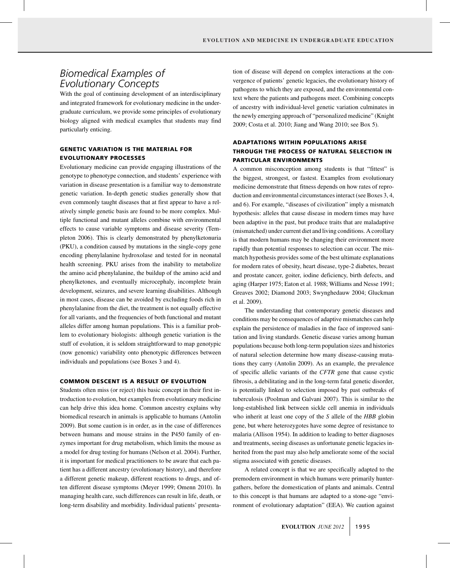# *Biomedical Examples of Evolutionary Concepts*

With the goal of continuing development of an interdisciplinary and integrated framework for evolutionary medicine in the undergraduate curriculum, we provide some principles of evolutionary biology aligned with medical examples that students may find particularly enticing.

### **GENETIC VARIATION IS THE MATERIAL FOR EVOLUTIONARY PROCESSES**

Evolutionary medicine can provide engaging illustrations of the genotype to phenotype connection, and students' experience with variation in disease presentation is a familiar way to demonstrate genetic variation. In-depth genetic studies generally show that even commonly taught diseases that at first appear to have a relatively simple genetic basis are found to be more complex. Multiple functional and mutant alleles combine with environmental effects to cause variable symptoms and disease severity (Templeton 2006). This is clearly demonstrated by phenylketonuria (PKU), a condition caused by mutations in the single-copy gene encoding phenylalanine hydroxolase and tested for in neonatal health screening. PKU arises from the inability to metabolize the amino acid phenylalanine, the buildup of the amino acid and phenylketones, and eventually microcephaly, incomplete brain development, seizures, and severe learning disabilities. Although in most cases, disease can be avoided by excluding foods rich in phenylalanine from the diet, the treatment is not equally effective for all variants, and the frequencies of both functional and mutant alleles differ among human populations. This is a familiar problem to evolutionary biologists: although genetic variation is the stuff of evolution, it is seldom straightforward to map genotypic (now genomic) variability onto phenotypic differences between individuals and populations (see Boxes 3 and 4).

#### **COMMON DESCENT IS A RESULT OF EVOLUTION**

Students often miss (or reject) this basic concept in their first introduction to evolution, but examples from evolutionary medicine can help drive this idea home. Common ancestry explains why biomedical research in animals is applicable to humans (Antolin 2009). But some caution is in order, as in the case of differences between humans and mouse strains in the P450 family of enzymes important for drug metabolism, which limits the mouse as a model for drug testing for humans (Nelson et al. 2004). Further, it is important for medical practitioners to be aware that each patient has a different ancestry (evolutionary history), and therefore a different genetic makeup, different reactions to drugs, and often different disease symptoms (Meyer 1999; Omenn 2010). In managing health care, such differences can result in life, death, or long-term disability and morbidity. Individual patients' presentation of disease will depend on complex interactions at the convergence of patients' genetic legacies, the evolutionary history of pathogens to which they are exposed, and the environmental context where the patients and pathogens meet. Combining concepts of ancestry with individual-level genetic variation culminates in the newly emerging approach of "personalized medicine" (Knight 2009; Costa et al. 2010; Jiang and Wang 2010; see Box 5).

### **ADAPTATIONS WITHIN POPULATIONS ARISE THROUGH THE PROCESS OF NATURAL SELECTION IN PARTICULAR ENVIRONMENTS**

A common misconception among students is that "fittest" is the biggest, strongest, or fastest. Examples from evolutionary medicine demonstrate that fitness depends on how rates of reproduction and environmental circumstances interact (see Boxes 3, 4, and 6). For example, "diseases of civilization" imply a mismatch hypothesis: alleles that cause disease in modern times may have been adaptive in the past, but produce traits that are maladaptive (mismatched) under current diet and living conditions. A corollary is that modern humans may be changing their environment more rapidly than potential responses to selection can occur. The mismatch hypothesis provides some of the best ultimate explanations for modern rates of obesity, heart disease, type-2 diabetes, breast and prostate cancer, goiter, iodine deficiency, birth defects, and aging (Harper 1975; Eaton et al. 1988; Williams and Nesse 1991; Greaves 2002; Diamond 2003; Swynghedauw 2004; Gluckman et al. 2009).

The understanding that contemporary genetic diseases and conditions may be consequences of adaptive mismatches can help explain the persistence of maladies in the face of improved sanitation and living standards. Genetic disease varies among human populations because both long-term population sizes and histories of natural selection determine how many disease-causing mutations they carry (Antolin 2009). As an example, the prevalence of specific allelic variants of the *CFTR* gene that cause cystic fibrosis, a debilitating and in the long-term fatal genetic disorder, is potentially linked to selection imposed by past outbreaks of tuberculosis (Poolman and Galvani 2007). This is similar to the long-established link between sickle cell anemia in individuals who inherit at least one copy of the *S* allele of the *HBB* globin gene, but where heterozygotes have some degree of resistance to malaria (Allison 1954). In addition to leading to better diagnoses and treatments, seeing diseases as unfortunate genetic legacies inherited from the past may also help ameliorate some of the social stigma associated with genetic diseases.

A related concept is that we are specifically adapted to the premodern environment in which humans were primarily huntergathers, before the domestication of plants and animals. Central to this concept is that humans are adapted to a stone-age "environment of evolutionary adaptation" (EEA). We caution against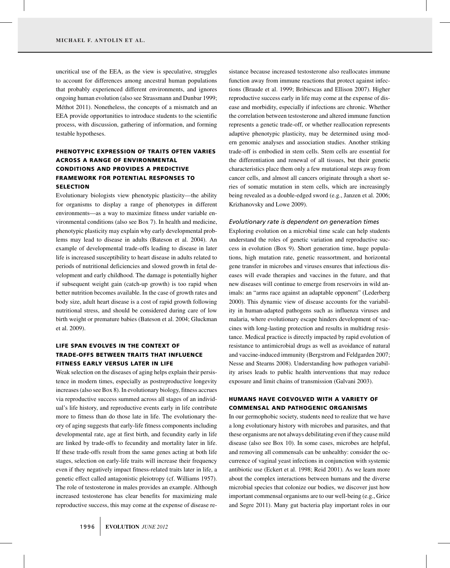uncritical use of the EEA, as the view is speculative, struggles to account for differences among ancestral human populations that probably experienced different environments, and ignores ongoing human evolution (also see Strassmann and Dunbar 1999; Méthot 2011). Nonetheless, the concepts of a mismatch and an EEA provide opportunities to introduce students to the scientific process, with discussion, gathering of information, and forming testable hypotheses.

### **PHENOTYPIC EXPRESSION OF TRAITS OFTEN VARIES ACROSS A RANGE OF ENVIRONMENTAL CONDITIONS AND PROVIDES A PREDICTIVE FRAMEWORK FOR POTENTIAL RESPONSES TO SELECTION**

Evolutionary biologists view phenotypic plasticity—the ability for organisms to display a range of phenotypes in different environments—as a way to maximize fitness under variable environmental conditions (also see Box 7). In health and medicine, phenotypic plasticity may explain why early developmental problems may lead to disease in adults (Bateson et al. 2004). An example of developmental trade-offs leading to disease in later life is increased susceptibility to heart disease in adults related to periods of nutritional deficiencies and slowed growth in fetal development and early childhood. The damage is potentially higher if subsequent weight gain (catch-up growth) is too rapid when better nutrition becomes available. In the case of growth rates and body size, adult heart disease is a cost of rapid growth following nutritional stress, and should be considered during care of low birth weight or premature babies (Bateson et al. 2004; Gluckman et al. 2009).

### **LIFE SPAN EVOLVES IN THE CONTEXT OF TRADE-OFFS BETWEEN TRAITS THAT INFLUENCE FITNESS EARLY VERSUS LATER IN LIFE**

Weak selection on the diseases of aging helps explain their persistence in modern times, especially as postreproductive longevity increases (also see Box 8). In evolutionary biology, fitness accrues via reproductive success summed across all stages of an individual's life history, and reproductive events early in life contribute more to fitness than do those late in life. The evolutionary theory of aging suggests that early-life fitness components including developmental rate, age at first birth, and fecundity early in life are linked by trade-offs to fecundity and mortality later in life. If these trade-offs result from the same genes acting at both life stages, selection on early-life traits will increase their frequency even if they negatively impact fitness-related traits later in life, a genetic effect called antagonistic pleiotropy (cf. Williams 1957). The role of testosterone in males provides an example. Although increased testosterone has clear benefits for maximizing male reproductive success, this may come at the expense of disease resistance because increased testosterone also reallocates immune function away from immune reactions that protect against infections (Braude et al. 1999; Bribiescas and Ellison 2007). Higher reproductive success early in life may come at the expense of disease and morbidity, especially if infections are chronic. Whether the correlation between testosterone and altered immune function represents a genetic trade-off, or whether reallocation represents adaptive phenotypic plasticity, may be determined using modern genomic analyses and association studies. Another striking trade-off is embodied in stem cells. Stem cells are essential for the differentiation and renewal of all tissues, but their genetic characteristics place them only a few mutational steps away from cancer cells, and almost all cancers originate through a short series of somatic mutation in stem cells, which are increasingly being revealed as a double-edged sword (e.g., Janzen et al. 2006; Krizhanovsky and Lowe 2009).

#### *Evolutionary rate is dependent on generation times*

Exploring evolution on a microbial time scale can help students understand the roles of genetic variation and reproductive success in evolution (Box 9). Short generation time, huge populations, high mutation rate, genetic reassortment, and horizontal gene transfer in microbes and viruses ensures that infectious diseases will evade therapies and vaccines in the future, and that new diseases will continue to emerge from reservoirs in wild animals: an "arms race against an adaptable opponent" (Lederberg 2000). This dynamic view of disease accounts for the variability in human-adapted pathogens such as influenza viruses and malaria, where evolutionary escape hinders development of vaccines with long-lasting protection and results in multidrug resistance. Medical practice is directly impacted by rapid evolution of resistance to antimicrobial drugs as well as avoidance of natural and vaccine-induced immunity (Bergstrom and Feldgarden 2007; Nesse and Stearns 2008). Understanding how pathogen variability arises leads to public health interventions that may reduce exposure and limit chains of transmission (Galvani 2003).

### **HUMANS HAVE COEVOLVED WITH A VARIETY OF COMMENSAL AND PATHOGENIC ORGANISMS**

In our germophobic society, students need to realize that we have a long evolutionary history with microbes and parasites, and that these organisms are not always debilitating even if they cause mild disease (also see Box 10). In some cases, microbes are helpful, and removing all commensals can be unhealthy: consider the occurrence of vaginal yeast infections in conjunction with systemic antibiotic use (Eckert et al. 1998; Reid 2001). As we learn more about the complex interactions between humans and the diverse microbial species that colonize our bodies, we discover just how important commensal organisms are to our well-being (e.g., Grice and Segre 2011). Many gut bacteria play important roles in our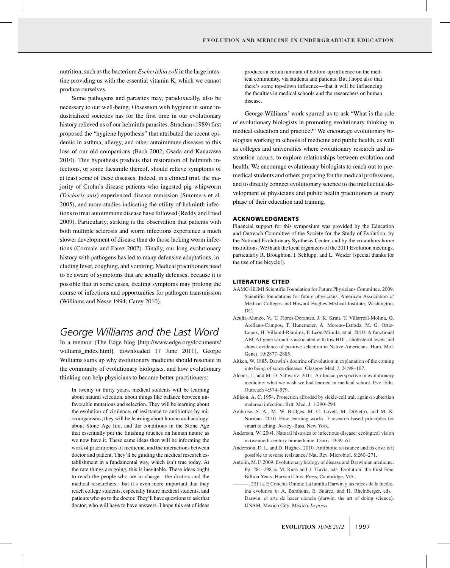nutrition, such as the bacterium *Escherichia coli* in the large intestine providing us with the essential vitamin K, which we cannot produce ourselves.

Some pathogens and parasites may, paradoxically, also be necessary to our well-being. Obsession with hygiene in some industrialized societies has for the first time in our evolutionary history relieved us of our helminth parasites. Strachan (1989) first proposed the "hygiene hypothesis" that attributed the recent epidemic in asthma, allergy, and other autoimmune diseases to this loss of our old companions (Bach 2002; Osada and Kanazawa 2010). This hypothesis predicts that restoration of helminth infections, or some facsimile thereof, should relieve symptoms of at least some of these diseases. Indeed, in a clinical trial, the majority of Crohn's disease patients who ingested pig whipworm (*Trichuris suis*) experienced disease remission (Summers et al. 2005), and more studies indicating the utility of helminth infections to treat autoimmune disease have followed (Reddy and Fried 2009). Particularly, striking is the observation that patients with both multiple sclerosis and worm infections experience a much slower development of disease than do those lacking worm infections (Correale and Farez 2007). Finally, our long evolutionary history with pathogens has led to many defensive adaptations, including fever, coughing, and vomiting. Medical practitioners need to be aware of symptoms that are actually defenses, because it is possible that in some cases, treating symptoms may prolong the course of infections and opportunities for pathogen transmission (Williams and Nesse 1994; Carey 2010).

# *George Williams and the Last Word*

In a memoir (The Edge blog [http://www.edge.org/documents/ williams\_index.html], downloaded 17 June 2011), George Williams sums up why evolutionary medicine should resonate in the community of evolutionary biologists, and how evolutionary thinking can help physicians to become better practitioners:

In twenty or thirty years, medical students will be learning about natural selection, about things like balance between unfavorable mutations and selection. They will be learning about the evolution of virulence, of resistance to antibiotics by microorganisms, they will be learning about human archaeology, about Stone Age life, and the conditions in the Stone Age that essentially put the finishing touches on human nature as we now have it. These same ideas then will be informing the work of practitioners of medicine, and the interactions between doctor and patient. They'll be guiding the medical research establishment in a fundamental way, which isn't true today. At the rate things are going, this is inevitable. These ideas ought to reach the people who are in charge—the doctors and the medical researchers—but it's even more important that they reach college students, especially future medical students, and patients who go to the doctor. They'll have questions to ask that doctor, who will have to have answers. I hope this set of ideas

produces a certain amount of bottom-up influence on the medical community, via students and patients. But I hope also that there's some top-down influence—that it will be influencing the faculties in medical schools and the researchers on human disease.

George Williams' work spurred us to ask "What is the role of evolutionary biologists in promoting evolutionary thinking in medical education and practice?" We encourage evolutionary biologists working in schools of medicine and public health, as well as colleges and universities where evolutionary research and instruction occurs, to explore relationships between evolution and health. We encourage evolutionary biologists to reach out to premedical students and others preparing for the medical professions, and to directly connect evolutionary science to the intellectual development of physicians and public health practitioners at every phase of their education and training.

#### **ACKNOWLEDGMENTS**

Financial support for this symposium was provided by the Education and Outreach Committee of the Society for the Study of Evolution, by the National Evolutionary Synthesis Center, and by the co-authors home institutions. We thank the local organizers of the 2011 Evolution meetings, particularly R. Broughton, I. Schlupp, and L. Weider (special thanks for the use of the bicycle!).

#### **LITERATURE CITED**

- AAMC-HHMI Scientific Foundation for Future Physicians Committee. 2009. Scientific foundations for future physicians. American Association of Medical Colleges and Howard Hughes Medical Institute, Washington,  $DC$
- Acuña-Alonzo, V., T. Flores-Dorantes, J. K. Kruit, T. Villarreal-Molina, O. Arellano-Campos, T. Hunemeier, A. Moreno-Estrada, M. G. Ortiz-Lopez, H. Villamil-Ramirez, P. Leon-Mimila, et al. 2010. A functional ABCA1 gene variant is associated with low HDL- cholesterol levels and shows evidence of positive selection in Native Americans. Hum. Mol. Genet. 19:2877–2885.
- Aitken, W. 1885. Darwin's doctrine of evolution in explanation of the coming into being of some diseases. Glasgow Med. J. 24:98–107.
- Alcock, J., and M. D. Schwartz. 2011. A clinical perspective in evolutionary medicine: what we wish we had learned in medical school. Evo. Edu. Outreach 4:574–579.
- Allison, A. C. 1954. Protection afforded by sickle-cell trait against subtertian malareal infection. Brit. Med. J. 1:290–294.
- Ambrose, S. A., M. W. Bridges, M. C. Lovett, M. DiPietro, and M. K. Norman. 2010. How learning works: 7 research based principles for smart teaching. Jossey–Bass, New York.
- Anderson, W. 2004. Natural histories of infectious disease: ecological vision in twentieth-century biomedicine. Osiris 19:39–61.
- Andersson, D. I., and D. Hughes. 2010. Antibiotic resistance and its cost: is it possible to reverse resistance? Nat. Rev. Microbiol. 8:260–271.
- Antolin, M. F. 2009. Evolutionary biology of disease and Darwinian medicine. Pp. 281–298 *in* M. Ruse and J. Travis, eds. Evolution: the First Four Billion Years. Harvard Univ. Press, Cambridge, MA.
	- -. 2011a. E Conchis Omnia: La familia Darwin y las raíces de la medicina evolutiva *in* A. Barahona, E. Suárez, and H. Rheinberger, eds. Darwin, el arte de hacer ciencia (darwin, the art of doing science). UNAM, Mexico City, Mexico. *In press*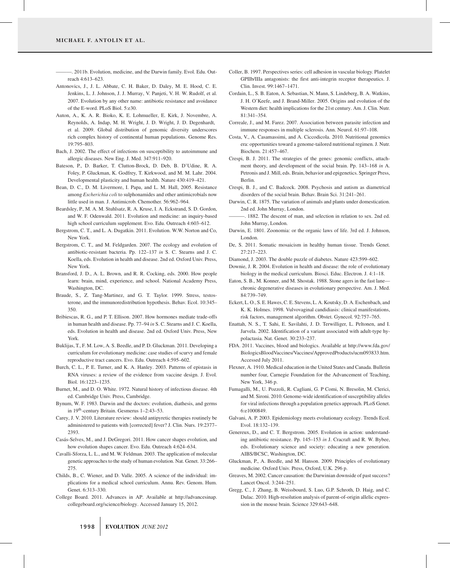———. 2011b. Evolution, medicine, and the Darwin family. Evol. Edu. Outreach 4:613–623.

- Antonovics, J., J. L. Abbate, C. H. Baker, D. Daley, M. E. Hood, C. E. Jenkins, L. J. Johnson, J. J. Murray, V. Panjeti, V. H. W. Rudolf, et al. 2007. Evolution by any other name: antibiotic resistance and avoidance of the E-word. PLoS Biol. 5:e30.
- Auton, A., K. A. R. Bioko, K. E. Lohmueller, E. Kirk, J. Novembre, A. Reynolds, A. Indap, M. H. Wright, J. D. Wright, J. D. Degenhardt, et al. 2009. Global distribution of genomic diversity underscores rich complex history of continental human populations. Genome Res. 19:795–803.
- Bach, J. 2002. The effect of infections on susceptibility to autoimmune and allergic diseases. New Eng. J. Med. 347:911–920.
- Bateson, P., D. Barker, T. Clutton-Brock, D. Deb, B. D'Udine, R. A. Foley, P. Gluckman, K. Godfrey, T. Kirkwood, and M. M. Lahr. 2004. Developmental plasticity and human health. Nature 430:419–421.
- Bean, D. C., D. M. Livermore, I. Papa, and L. M. Hall, 2005. Resistance among *Escherichia coli* to sulphonamides and other antimicrobials now little used in man. J. Antimicrob. Chemother. 56:962–964.
- Beardsley, P., M. A. M. Stuhlsatz, R. A. Kruse, I. A. Eckstrand, S. D. Gordon, and W. F. Odenwald. 2011. Evolution and medicine: an inquiry-based high school curriculum supplement. Evo. Edu. Outreach 4:603–612.
- Bergstrom, C. T., and L. A. Dugatkin. 2011. Evolution. W.W. Norton and Co, New York.
- Bergstrom, C. T., and M. Feldgarden. 2007. The ecology and evolution of antibiotic-resistant bacteria. Pp. 122–137 *in* S. C. Stearns and J. C. Koella, eds. Evolution in health and disease. 2nd ed. Oxford Univ. Press, New York.
- Bransford, J. D., A. L. Brown, and R. R. Cocking, eds. 2000. How people learn: brain, mind, experience, and school. National Academy Press, Washington, DC.
- Braude, S., Z. Tang-Martinez, and G. T. Taylor. 1999. Stress, testosterone, and the immunoredistribution hypothesis. Behav. Ecol. 10:345– 350.
- Bribiescas, R. G., and P. T. Ellison. 2007. How hormones mediate trade-offs in human health and disease. Pp. 77–94 *in* S. C. Stearns and J. C. Koella, eds. Evolution in health and disease. 2nd ed. Oxford Univ. Press, New York.
- Buklijas, T., F. M. Low, A. S. Beedle, and P. D. Gluckman. 2011. Developing a curriculum for evolutionary medicine: case studies of scurvy and female reproductive tract cancers. Evo. Edu. Outreach 4:595–602.
- Burch, C. L., P. E. Turner, and K. A. Hanley. 2003. Patterns of epistasis in RNA viruses: a review of the evidence from vaccine design. J. Evol. Biol. 16:1223–1235.
- Burnet, M., and D. O. White. 1972. Natural history of infectious disease. 4th ed. Cambridge Univ. Press, Cambridge.
- Bynum, W. F. 1983. Darwin and the doctors: evolution, diathesis, and germs in 19th-century Britain. Gesmerus 1–2:43–53.
- Carey, J. V. 2010. Literature review: should antipyretic therapies routinely be administered to patients with [corrected] fever? J. Clin. Nurs. 19:2377– 2393.
- Casás-Selves, M., and J. DeGregori. 2011. How cancer shapes evolution, and how evolution shapes cancer. Evo. Edu. Outreach 4:624–634.
- Cavalli-Sforza, L. L., and M. W. Feldman. 2003. The application of molecular genetic approaches to the study of human evolution. Nat. Genet. 33:266– 275.
- Childs, B., C. Wiener, and D. Valle. 2005. A science of the individual: implications for a medical school curriculum. Annu. Rev. Genom. Hum. Genet. 6:313–330.
- College Board. 2011. Advances in AP. Available at http://advancesinap. collegeboard.org/science/biology. Accessed January 15, 2012.
- Coller, B. 1997. Perspectives series: cell adhesion in vascular biology. Platelet GPIIb/IIIa antagonists: the first anti-integrin receptor therapeutics. J. Clin. Invest. 99:1467–1471.
- Cordain, L., S. B. Eaton, A. Sebastian, N. Mann, S. Lindeberg, B. A. Watkins, J. H. O'Keefe, and J. Brand-Miller. 2005. Origins and evolution of the Western diet: health implications for the 21st century. Am. J. Clin. Nutr. 81:341–354.
- Correale, J., and M. Farez. 2007. Association between parasite infection and immune responses in multiple sclerosis. Ann. Neurol. 61:97–108.
- Costa, V., A. Casamassimi, and A. Ciccodicola. 2010. Nutritional genomics era: opportunities toward a genome-tailored nutritional regimen. J. Nutr. Biochem. 21:457–467.
- Crespi, B. J. 2011. The strategies of the genes: genomic conflicts, attachment theory, and development of the social brain. Pp. 143–168 *in* A. Petronis and J. Mill, eds. Brain, behavior and epigenetics. Springer Press, Berlin.
- Crespi, B. J., and C. Badcock. 2008. Psychosis and autism as diametrical disorders of the social brain. Behav. Brain Sci. 31:241–261.
- Darwin, C. R. 1875. The variation of animals and plants under domestication. 2nd ed. John Murray, London.
- -. 1882. The descent of man, and selection in relation to sex. 2nd ed. John Murray, London.
- Darwin, E. 1801. Zoonomia: or the organic laws of life. 3rd ed. J. Johnson, London.
- De, S. 2011. Somatic mosaicism in healthy human tissue. Trends Genet. 27:217–223.
- Diamond, J. 2003. The double puzzle of diabetes. Nature 423:599–602.
- Downie, J. R. 2004. Evolution in health and disease: the role of evolutionary biology in the medical curriculum. Biosci. Educ. Electron. J. 4:1–18.
- Eaton, S. B., M. Konner, and M. Shostak. 1988. Stone agers in the fast lane chronic degenerative diseases in evolutionary perspective. Am. J. Med. 84:739–749.
- Eckert, L. O., S. E. Hawes, C. E. Stevens, L. A. Koutsky, D. A. Eschenbach, and K. K. Holmes. 1998. Vulvovaginal candidiasis: clinical manifestations, risk factors, management algorithm. Obstet. Gynecol. 92:757–765.
- Enattah, N. S., T. Sahi, E. Savilahti, J. D. Terwilliger, L. Peltonen, and I. Jarvela. 2002. Identification of a variant associated with adult-type hypolactasia. Nat. Genet. 30:233–237.
- FDA. 2011. Vaccines, blood and biologics. Available at http://www.fda.gov/ BiologicsBloodVaccines/Vaccines/ApprovedProducts/ucm093833.htm. Accessed July 2011.
- Flexner, A. 1910. Medical education in the United States and Canada. Bulletin number four, Carnegie Foundation for the Advancement of Teaching, New York, 346 p.
- Fumagalli, M., U. Pozzoli, R. Cagliani, G. P Comi, N. Bresolin, M. Clerici, and M. Sironi. 2010. Genome-wide identification of susceptibility alleles for viral infections through a population genetics approach. PLoS Genet. 6:e1000849.
- Galvani, A. P. 2003. Epidemiology meets evolutionary ecology. Trends Ecol. Evol. 18:132–139.
- Genereux, D., and C. T. Bergstrom. 2005. Evolution in action: understanding antibiotic resistance. Pp. 145–153 *in* J. Cracraft and R. W. Bybee, eds. Evolutionary science and society: educating a new generation. AIBS/BCSC, Washington, DC.
- Gluckman, P., A. Beedle, and M. Hanson. 2009. Principles of evolutionary medicine. Oxford Univ. Press, Oxford, U.K. 296 p.
- Greaves, M. 2002. Cancer causation: the Darwinian downside of past success? Lancet Oncol. 3:244–251.
- Gregg, C., J. Zhang, B. Weissbourd, S. Luo, G.P. Schroth, D. Haig, and C. Dulac. 2010. High-resolution analysis of parent-of-origin allelic expression in the mouse brain. Science 329:643–648.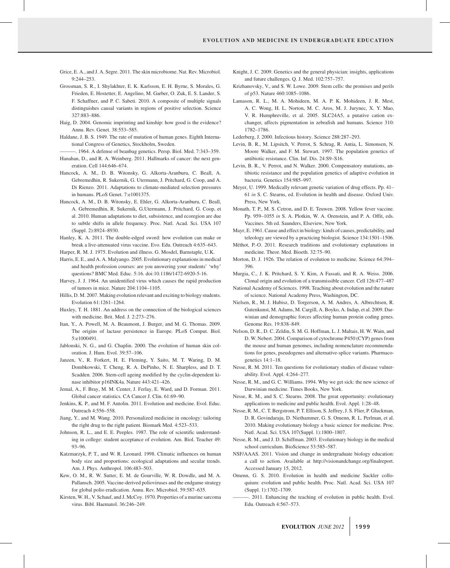- Grice, E. A., and J. A. Segre. 2011. The skin microbiome. Nat. Rev. Microbiol. 9:244–253.
- Grossman, S. R., I. Shylakhter, E. K. Karlsson, E. H. Byrne, S. Morales, G. Frieden, E. Hostetter, E. Angelino, M. Garber, O. Zuk, E. S. Lander, S. F. Schaffner, and P. C. Sabeti. 2010. A composite of multiple signals distinguishes causal variants in regions of positive selection. Science 327:883–886.
- Haig, D. 2004. Genomic imprinting and kinship: how good is the evidence? Annu. Rev. Genet. 38:553–585.
- Haldane, J. B. S. 1949. The rate of mutation of human genes. Eighth International Congress of Genetics, Stockholm, Sweden.

———. 1964. A defense of beanbag genetics. Persp. Biol. Med. 7:343–359.

- Hanahan, D., and R. A. Weinberg. 2011. Hallmarks of cancer: the next generation. Cell 144:646–674.
- Hancock, A. M., D. B. Witonsky, G. Alkorta-Aranburu, C. Beall, A. Gebremedhin, R. Sukernik, G. Utermann, J. Pritchard, G. Coop, and A. Di Rienzo. 2011. Adaptations to climate-mediated selection pressures in humans. PLoS Genet. 7:e1001375.
- Hancock, A. M., D. B. Witonsky, E. Ehler, G. Alkorta-Aranburu, C. Beall, A. Gebremedhin, R. Sukernik, G.Utermann, J. Pritchard, G. Coop, et al. 2010. Human adaptations to diet, subsistence, and ecoregion are due to subtle shifts in allele frequency. Proc. Natl. Acad. Sci. USA 107 (Suppl. 2):8924–8930.
- Hanley, K. A. 2011. The double-edged sword: how evolution can make or break a live-attenuated virus vaccine. Evo. Edu. Outreach 4:635–643.
- Harper, R. M. J. 1975. Evolution and illness. G. Mosdel, Barnstaple, U.K.
- Harris, E. E., and A. A. Malyango. 2005. Evolutionary explanations in medical and health profession courses: are you answering your students' 'why' questions? BMC Med. Educ. 5:16. doi:10.1186/1472-6920-5-16.
- Harvey, J. J. 1964. An unidentified virus which causes the rapid production of tumors in mice. Nature 204:1104–1105.
- Hillis, D. M. 2007. Making evolution relevant and exciting to biology students. Evolution 61:1261–1264.
- Huxley, T. H. 1881. An address on the connection of the biological sciences with medicine. Brit. Med. J. 2:273–276.
- Itan, Y., A. Powell, M. A. Beaumont, J. Burger, and M. G. Thomas. 2009. The origins of lactase persistence in Europe. PLoS Comput. Biol. 5:e1000491.
- Jablonski, N. G., and G. Chaplin. 2000. The evolution of human skin coloration. J. Hum. Evol. 39:57–106.
- Janzen, V., R. Forkert, H. E. Fleming, Y. Saito, M. T. Waring, D. M. Dombkowski, T. Cheng, R. A. DePinho, N. E. Sharpless, and D. T. Scadden. 2006. Stem-cell ageing modified by the cyclin-dependent kinase inhibitor p16INK4a. Nature 443:421–426.
- Jemal, A., F. Bray, M. M. Center, J. Ferlay, E. Ward, and D. Forman. 2011. Global cancer statistics. CA Cancer J. Clin. 61:69–90.
- Jenkins, K. P., and M. F. Antolin. 2011. Evolution and medicine. Evol. Educ. Outreach 4:556–558.
- Jiang, Y., and M. Wang. 2010. Personalized medicine in oncology: tailoring the right drug to the right patient. Biomark Med. 4:523–533.
- Johnson, R. L., and E. E. Peeples. 1987. The role of scientific understanding in college: student acceptance of evolution. Am. Biol. Teacher 49: 93–96.
- Katzmarzyk, P. T., and W. R. Leonard. 1998. Climatic influences on human body size and proportions: ecological adaptations and secular trends. Am. J. Phys. Anthropol. 106:483–503.
- Kew, O. M., R. W. Sutter, E. M. de Gourville, W. R. Dowdle, and M. A. Pallansch. 2005. Vaccine-derived polioviruses and the endgame strategy for global polio eradication. Annu. Rev. Microbiol. 59:587–635.
- Kirsten, W. H., V. Schauf, and J. McCoy. 1970. Properties of a murine sarcoma virus. Bibl. Haematol. 36:246–249.
- Knight, J. C. 2009. Genetics and the general physician: insights, applications and future challenges. Q. J. Med. 102:757–757.
- Krizhanovsky, V., and S. W. Lowe. 2009. Stem cells: the promises and perils of p53. Nature 460:1085–1086.
- Lamason, R. L., M. A. Mohideen, M. A. P. K. Mohideen, J. R. Mest, A. C. Wong, H. L. Norton, M. C. Aros, M. J. Jurynec, X. Y. Mao, V. R. Humphreville, et al. 2005. SLC24A5, a putative cation exchanger, affects pigmentation in zebrafish and humans. Science 310: 1782–1786.
- Lederberg, J. 2000. Infectious history. Science 288:287–293.
- Levin, B. R., M. Lipsitch, V. Perrot, S. Schrag, R. Antia, L. Simonsen, N. Moore Walker, and F. M. Stewart. 1997. The population genetics of antibiotic resistance. Clin. Inf. Dis. 24:S9–S16.
- Levin, B. R., V. Perrot, and N. Walker. 2000. Compensatory mutations, antibiotic resistance and the population genetics of adaptive evolution in bacteria. Genetics 154:985–997.
- Meyer, U. 1999. Medically relevant genetic variation of drug effects. Pp. 41– 61 *in* S. C. Stearns, ed. Evolution in health and disease. Oxford Univ. Press, New York.
- Monath, T. P., M. S. Cetron, and D. E. Teuwen. 2008. Yellow fever vaccine. Pp. 959–1055 *in* S. A. Plotkin, W. A. Orenstein, and P. A. Offit, eds. Vaccines. 5th ed. Saunders, Elseview, New York.
- Mayr, E. 1961. Cause and effect in biology: kinds of causes, predictability, and teleology are viewed by a practicing biologist. Science 134:1501–1506.
- Méthot, P.-O. 2011. Research traditions and evolutionary explanations in medicine. Theor. Med. Bioeth. 32:75–90.
- Morton, D. J. 1926. The relation of evolution to medicine. Science 64:394– 396.
- Murgia, C., J. K. Pritchard, S. Y. Kim, A Fassati, and R. A. Weiss. 2006. Clonal origin and evolution of a transmissible cancer. Cell 126:477–487
- National Academy of Sciences. 1998. Teaching about evolution and the nature of science. National Academy Press, Washington, DC.
- Nielsen, R., M. J. Hubisz, D. Torgerson, A. M. Andres, A. Albrechtsen, R. Gutenkunst, M. Adams, M. Cargill, A. Boyko, A. Indap, et al. 2009. Darwinian and demographic forces affecting human protein coding genes. Genome Res. 19:838–849.
- Nelson, D. R., D. C. Zeldin, S. M. G. Hoffman, L. J. Maltais, H. W. Wain, and D. W. Nebert. 2004. Comparison of cytochrome P450 (CYP) genes from the mouse and human genomes, including nomenclature recommendations for genes, pseudogenes and alternative-splice variants. Pharmacogenetics 14:1–18.
- Nesse, R. M. 2011. Ten questions for evolutionary studies of disease vulnerability. Evol. Appl. 4:264–277.
- Nesse, R. M., and G. C. Williams. 1994. Why we get sick: the new science of Darwinian medicine. Times Books, New York.
- Nesse, R. M., and S. C. Stearns. 2008. The great opportunity: evolutionary applications to medicine and public health. Evol. Appl. 1:28–48.
- Nesse, R. M., C. T. Bergstrom, P. T. Ellison, S. Jeffrey, J. S. Flier, P. Gluckman, D. R. Govindaraju, D. Niethammer, G. S. Omenn, R. L. Perlman, et al. 2010. Making evolutionary biology a basic science for medicine. Proc. Natl. Acad. Sci. USA 107(Suppl. 1):1800–1807.
- Nesse, R. M., and J. D. Schiffman. 2003. Evolutionary biology in the medical school curriculum. BioScience 53:585–587.
- NSF/AAAS. 2011. Vision and change in undergraduate biology education: a call to action. Available at http://visionandchange.org/finalreport. Accessed January 15, 2012.
- Omenn, G. S. 2010. Evolution in health and medicine Sackler colloquium: evolution and public health. Proc. Natl. Acad. Sci. USA 107 (Suppl. 1):1702–1709.
- -. 2011. Enhancing the teaching of evolution in public health. Evol. Edu. Outreach 4:567–573.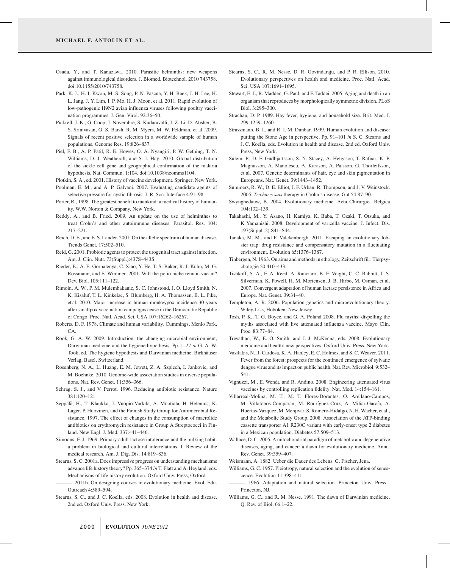- Osada, Y., and T. Kanazawa. 2010. Parasitic helminths: new weapons against immunological disorders. J. Biomed. Biotechnol. 2010 743758. doi:10.1155/2010/743758.
- Park, K. J., H. I. Kwon, M. S. Song, P. N. Pascua, Y. H. Baek, J. H. Lee, H. L. Jang, J. Y. Lim, I. P. Mo, H. J. Moon, et al. 2011. Rapid evolution of low-pathogenic H9N2 avian influenza viruses following poultry vaccination programmes. J. Gen. Virol. 92:36–50.
- Pickrell, J. K., G. Coop, J. Novembre, S. Kudaravalli, J. Z. Li, D. Absher, B. S. Srinivasan, G. S. Barsh, R. M. Myers, M. W. Feldman, et al. 2009. Signals of recent positive selection in a worldwide sample of human populations. Genome Res. 19:826–837.
- Piel, F. B., A. P. Patil, R. E. Howes, O. A. Nyangiri, P. W. Gething, T. N. Williams, D. J. Weatherall, and S. I. Hay. 2010. Global distribution of the sickle cell gene and geographical confirmation of the malaria hypothesis. Nat. Commun. 1:104. doi:10.1038/ncomms1104.
- Plotkin, S. A., ed. 2001. History of vaccine development. Springer, New York.
- Poolman, E. M., and A. P. Galvani. 2007. Evaluating candidate agents of selective pressure for cystic fibrosis. J. R. Soc. Interface 4:91–98.
- Porter, R., 1998. The greatest benefit to mankind: a medical history of humanity. W.W. Norton & Company, New York.
- Reddy, A., and B. Fried. 2009. An update on the use of helminthes to treat Crohn's and other autoimmune diseases. Parasitol. Res. 104: 217–221.
- Reich, D. E., and E. S. Lander. 2001. On the allelic spectrum of human disease. Trends Genet. 17:502–510.
- Reid, G. 2001. Probiotic agents to protect the urogenital tract against infection. Am. J. Clin. Nutr. 73(Suppl.):437S–443S.
- Rieder, E., A. E. Gorbalenya, C. Xiao, Y. He, T. S. Baker, R. J. Kuhn, M. G. Rossmann, and E. Wimmer. 2001. Will the polio niche remain vacant? Dev. Biol. 105:111–122.
- Rimoin, A. W., P. M. Mulembakanic, S. C. Johnstond, J. O. Lloyd Smith, N. K. Kisaluf, T. L. Kinkelac, S. Blumberg, H. A. Thomassen, B. L. Pike, et al. 2010. Major increase in human monkeypox incidence 30 years after smallpox vaccination campaigns cease in the Democratic Republic of Congo. Proc. Natl. Acad. Sci. USA 107:16262–16267.
- Roberts, D. F. 1978. Climate and human variability. Cummings, Menlo Park, CA.
- Rook, G. A. W. 2009. Introduction: the changing microbial environment, Darwinian medicine and the hygiene hypothesis. Pp. 1–27 *in* G. A. W. Took, ed. The hygiene hypothesis and Darwinian medicine. Birkhäuser Verlag, Basel, Switzerland.
- Rosenberg, N. A., L. Huang, E. M. Jewett, Z. A. Szpiech, I. Jankovic, and M. Boehnke. 2010. Genome-wide association studies in diverse populations. Nat. Rev. Genet. 11:356–366.
- Schrag, S. J., and V. Perrot. 1996. Reducing antibiotic resistance. Nature 381:120–121.
- Seppälä, H., T. Klaukka, J. Vuopio-Varkila, A. Muotiala, H. Helenius, K. Lager, P. Huovinen, and the Finnish Study Group for Antimicrobial Resistance. 1997. The effect of changes in the consumption of macrolide antibiotics on erythromycin resistance in Group A Streptococci in Finland. New Engl. J. Med. 337:441–446.
- Simoons, F. J. 1969. Primary adult lactose intolerance and the milking habit: a problem in biological and cultural interrelations. I. Review of the medical research. Am. J. Dig. Dis. 14:819–836.
- Stearns, S. C. 2001a. Does impressive progress on understanding mechanisms advance life history theory? Pp. 365–374 *in* T. Flatt and A. Heyland, eds. Mechanisms of life history evolution. Oxford Univ. Press, Oxford.
- ———. 2011b. On designing courses in evolutionary medicine. Evol. Edu. Outreach 4:589–594.
- Stearns, S. C., and J. C. Koella, eds. 2008. Evolution in health and disease. 2nd ed. Oxford Univ. Press, New York.
- Stearns, S. C., R. M. Nesse, D. R. Govindaraju, and P. R. Ellison. 2010. Evolutionary perspectives on health and medicine. Proc. Natl. Acad. Sci. USA 107:1691–1695.
- Stewart, E. J., R. Madden, G. Paul, and F. Taddei. 2005. Aging and death in an organism that reproduces by morphologically symmetric division. PLoS Biol. 3:295–300.
- Strachan, D. P. 1989. Hay fever, hygiene, and household size. Brit. Med. J. 299:1259–1260.
- Strassmann, B. I., and R. I. M. Dunbar. 1999. Human evolution and disease: putting the Stone Age in perspective. Pp. 91–101 *in* S. C. Stearns and J. C. Koella, eds. Evolution in health and disease. 2nd ed. Oxford Univ. Press, New York.
- Sulem, P., D. F. Gudbjartsson, S. N. Stacey, A. Helgason, T. Rafnar, K. P. Magnusson, A. Manolescu, A. Karason, A. Palsson, G. Thorleifsson, et al. 2007. Genetic determinants of hair, eye and skin pigmentation in Europeans. Nat. Genet. 39:1443–1452.
- Summers, R. W., D. E. Elliot, J. F. Urban, R. Thompson, and J. V. Weinstock. 2005. *Trichuris suis* therapy in Crohn's disease. Gut 54:87–90.
- Swynghedauw, B. 2004. Evolutionary medicine. Acta Chirurgica Belgica 104:132–139.
- Takahashi, M., Y. Asano, H. Kamiya, K. Baba, T. Ozaki, T. Otsuka, and K Yamanishi. 2008. Development of varicella vaccine. J. Infect. Dis. 197(Suppl. 2):S41–S44.
- Tanaka, M. M., and F. Valckenborgh. 2011. Escaping an evolutionary lobster trap: drug resistance and compensatory mutation in a fluctuating environment. Evolution 65:1376–1387.
- Tinbergen, N. 1963. On aims and methods in ethology, Zeitschrift für. Tierpsychologie 20:410–433.
- Tishkoff, S. A., F. A. Reed, A. Ranciaro, B. F. Voight, C. C. Babbitt, J. S. Silverman, K. Powell, H. M. Mortensen, J. B. Hirbo, M. Osman, et al. 2007. Convergent adaptation of human lactase persistence in Africa and Europe. Nat. Genet. 39:31–40.
- Templeton, A. R. 2006. Population genetics and microevolutionary theory. Wiley-Liss, Hoboken, New Jersey.
- Tosh, P. K., T. G. Boyce, and G. A. Poland 2008. Flu myths: dispelling the myths associated with live attenuated influenza vaccine. Mayo Clin. Proc. 83:77–84.
- Trevathan, W., E. O. Smith, and J. J. McKenna, eds. 2008. Evolutionary medicine and health: new perspectives. Oxford Univ. Press, New York.
- Vasilakis, N., J. Cardosa, K. A. Hanley, E. C. Holmes, and S. C. Weaver. 2011. Fever from the forest: prospects for the continued emergence of sylvatic dengue virus and its impact on public health. Nat. Rev. Microbiol. 9:532– 541.
- Vignuzzi, M., E. Wendt, and R. Andino. 2008. Engineering attenuated virus vaccines by controlling replication fidelity. Nat. Med. 14:154–161.
- Villarreal-Molina, M. T., M. T. Flores-Dorantes, O. Arellano-Campos, M. Villalobos-Comparan, M. Rodríguez-Cruz, A. Miliar-García, A. Huertas-Vazquez, M. Menjivar, S. Romero-Hidalgo, N. H. Wacher, et al., and the Metabolic Study Group. 2008. Association of the ATP-binding cassette transporter A1 R230C variant with early-onset type 2 diabetes in a Mexican population. Diabetes 57:509–513.
- Wallace, D. C. 2005. A mitochondrial paradigm of metabolic and degenerative diseases, aging, and cancer: a dawn for evolutionary medicine. Annu. Rev. Genet. 39:359–407.
- Weismann, A. 1882. Ueber die Dauer des Lebens. G. Fischer, Jena.
- Williams, G. C. 1957. Pleiotropy, natural selection and the evolution of senescence. Evolution 11:398–411.
- ———. 1966. Adaptation and natural selection. Princeton Univ. Press, Princeton, NJ.
- Williams, G. C., and R. M. Nesse. 1991. The dawn of Darwinian medicine. Q. Rev. of Biol. 66:1–22.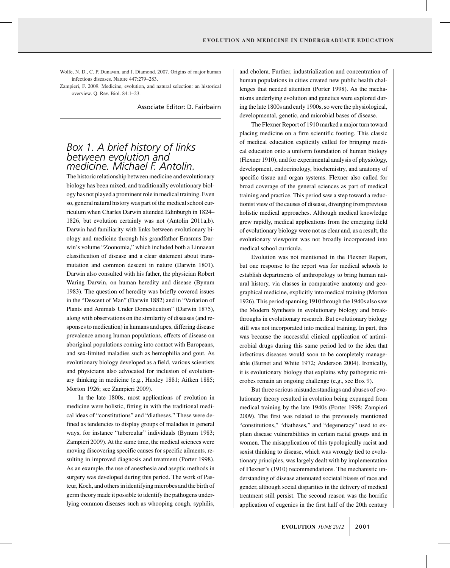Wolfe, N. D., C. P. Dunavan, and J. Diamond. 2007. Origins of major human infectious diseases. Nature 447:279–283.

Zampieri, F. 2009. Medicine, evolution, and natural selection: an historical overview. Q. Rev. Biol. 84:1–23.

Associate Editor: D. Fairbairn

### *Box 1. A brief history of links between evolution and medicine. Michael F. Antolin.*

The historic relationship between medicine and evolutionary biology has been mixed, and traditionally evolutionary biology has not played a prominent role in medical training. Even so, general natural history was part of the medical school curriculum when Charles Darwin attended Edinburgh in 1824– 1826, but evolution certainly was not (Antolin 2011a,b). Darwin had familiarity with links between evolutionary biology and medicine through his grandfather Erasmus Darwin's volume "Zoonomia," which included both a Linnaean classification of disease and a clear statement about transmutation and common descent in nature (Darwin 1801). Darwin also consulted with his father, the physician Robert Waring Darwin, on human heredity and disease (Bynum 1983). The question of heredity was briefly covered issues in the "Descent of Man" (Darwin 1882) and in "Variation of Plants and Animals Under Domestication" (Darwin 1875), along with observations on the similarity of diseases (and responses to medication) in humans and apes, differing disease prevalence among human populations, effects of disease on aboriginal populations coming into contact with Europeans, and sex-limited maladies such as hemophilia and gout. As evolutionary biology developed as a field, various scientists and physicians also advocated for inclusion of evolutionary thinking in medicine (e.g., Huxley 1881; Aitken 1885; Morton 1926; see Zampieri 2009).

In the late 1800s, most applications of evolution in medicine were holistic, fitting in with the traditional medical ideas of "constitutions" and "diatheses." These were defined as tendencies to display groups of maladies in general ways, for instance "tubercular" individuals (Bynum 1983; Zampieri 2009). At the same time, the medical sciences were moving discovering specific causes for specific ailments, resulting in improved diagnosis and treatment (Porter 1998). As an example, the use of anesthesia and aseptic methods in surgery was developed during this period. The work of Pasteur, Koch, and others in identifying microbes and the birth of germ theory made it possible to identify the pathogens underlying common diseases such as whooping cough, syphilis,

and cholera. Further, industrialization and concentration of human populations in cities created new public health challenges that needed attention (Porter 1998). As the mechanisms underlying evolution and genetics were explored during the late 1800s and early 1900s, so were the physiological, developmental, genetic, and microbial bases of disease.

The Flexner Report of 1910 marked a major turn toward placing medicine on a firm scientific footing. This classic of medical education explicitly called for bringing medical education onto a uniform foundation of human biology (Flexner 1910), and for experimental analysis of physiology, development, endocrinology, biochemistry, and anatomy of specific tissue and organ systems. Flexner also called for broad coverage of the general sciences as part of medical training and practice. This period saw a step toward a reductionist view of the causes of disease, diverging from previous holistic medical approaches. Although medical knowledge grew rapidly, medical applications from the emerging field of evolutionary biology were not as clear and, as a result, the evolutionary viewpoint was not broadly incorporated into medical school curricula.

Evolution was not mentioned in the Flexner Report, but one response to the report was for medical schools to establish departments of anthropology to bring human natural history, via classes in comparative anatomy and geographical medicine, explicitly into medical training (Morton 1926). This period spanning 1910 through the 1940s also saw the Modern Synthesis in evolutionary biology and breakthroughs in evolutionary research. But evolutionary biology still was not incorporated into medical training. In part, this was because the successful clinical application of antimicrobial drugs during this same period led to the idea that infectious diseases would soon to be completely manageable (Burnet and White 1972; Anderson 2004). Ironically, it is evolutionary biology that explains why pathogenic microbes remain an ongoing challenge (e.g., see Box 9).

But three serious misunderstandings and abuses of evolutionary theory resulted in evolution being expunged from medical training by the late 1940s (Porter 1998; Zampieri 2009). The first was related to the previously mentioned "constitutions," "diatheses," and "degeneracy" used to explain disease vulnerabilities in certain racial groups and in women. The misapplication of this typologically racist and sexist thinking to disease, which was wrongly tied to evolutionary principles, was largely dealt with by implementation of Flexner's (1910) recommendations. The mechanistic understanding of disease attenuated societal biases of race and gender, although social disparities in the delivery of medical treatment still persist. The second reason was the horrific application of eugenics in the first half of the 20th century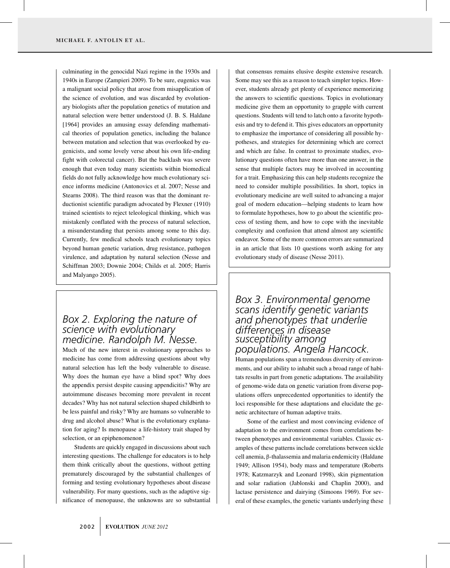culminating in the genocidal Nazi regime in the 1930s and 1940s in Europe (Zampieri 2009). To be sure, eugenics was a malignant social policy that arose from misapplication of the science of evolution, and was discarded by evolutionary biologists after the population genetics of mutation and natural selection were better understood (J. B. S. Haldane [1964] provides an amusing essay defending mathematical theories of population genetics, including the balance between mutation and selection that was overlooked by eugenicists, and some lovely verse about his own life-ending fight with colorectal cancer). But the backlash was severe enough that even today many scientists within biomedical fields do not fully acknowledge how much evolutionary science informs medicine (Antonovics et al. 2007; Nesse and Stearns 2008). The third reason was that the dominant reductionist scientific paradigm advocated by Flexner (1910) trained scientists to reject teleological thinking, which was mistakenly conflated with the process of natural selection, a misunderstanding that persists among some to this day. Currently, few medical schools teach evolutionary topics beyond human genetic variation, drug resistance, pathogen virulence, and adaptation by natural selection (Nesse and Schiffman 2003; Downie 2004; Childs et al. 2005; Harris and Malyango 2005).

### *Box 2. Exploring the nature of science with evolutionary medicine. Randolph M. Nesse.*

Much of the new interest in evolutionary approaches to medicine has come from addressing questions about why natural selection has left the body vulnerable to disease. Why does the human eye have a blind spot? Why does the appendix persist despite causing appendicitis? Why are autoimmune diseases becoming more prevalent in recent decades? Why has not natural selection shaped childbirth to be less painful and risky? Why are humans so vulnerable to drug and alcohol abuse? What is the evolutionary explanation for aging? Is menopause a life-history trait shaped by selection, or an epiphenomenon?

Students are quickly engaged in discussions about such interesting questions. The challenge for educators is to help them think critically about the questions, without getting prematurely discouraged by the substantial challenges of forming and testing evolutionary hypotheses about disease vulnerability. For many questions, such as the adaptive significance of menopause, the unknowns are so substantial that consensus remains elusive despite extensive research. Some may see this as a reason to teach simpler topics. However, students already get plenty of experience memorizing the answers to scientific questions. Topics in evolutionary medicine give them an opportunity to grapple with current questions. Students will tend to latch onto a favorite hypothesis and try to defend it. This gives educators an opportunity to emphasize the importance of considering all possible hypotheses, and strategies for determining which are correct and which are false. In contrast to proximate studies, evolutionary questions often have more than one answer, in the sense that multiple factors may be involved in accounting for a trait. Emphasizing this can help students recognize the need to consider multiple possibilities. In short, topics in evolutionary medicine are well suited to advancing a major goal of modern education—helping students to learn how to formulate hypotheses, how to go about the scientific process of testing them, and how to cope with the inevitable complexity and confusion that attend almost any scientific endeavor. Some of the more common errors are summarized in an article that lists 10 questions worth asking for any evolutionary study of disease (Nesse 2011).

### *Box 3. Environmental genome scans identify genetic variants and phenotypes that underlie differences in disease susceptibility among populations. Angela Hancock.*

Human populations span a tremendous diversity of environments, and our ability to inhabit such a broad range of habitats results in part from genetic adaptations. The availability of genome-wide data on genetic variation from diverse populations offers unprecedented opportunities to identify the loci responsible for these adaptations and elucidate the genetic architecture of human adaptive traits.

Some of the earliest and most convincing evidence of adaptation to the environment comes from correlations between phenotypes and environmental variables. Classic examples of these patterns include correlations between sickle cell anemia, β-thalassemia and malaria endemicity (Haldane 1949; Allison 1954), body mass and temperature (Roberts 1978; Katzmarzyk and Leonard 1998), skin pigmentation and solar radiation (Jablonski and Chaplin 2000), and lactase persistence and dairying (Simoons 1969). For several of these examples, the genetic variants underlying these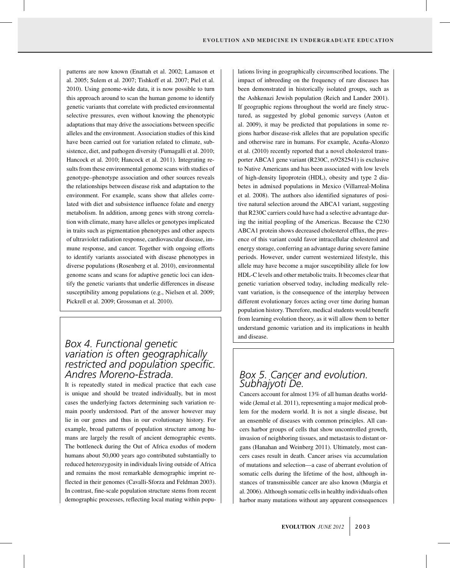patterns are now known (Enattah et al. 2002; Lamason et al. 2005; Sulem et al. 2007; Tishkoff et al. 2007; Piel et al. 2010). Using genome-wide data, it is now possible to turn this approach around to scan the human genome to identify genetic variants that correlate with predicted environmental selective pressures, even without knowing the phenotypic adaptations that may drive the associations between specific alleles and the environment. Association studies of this kind have been carried out for variation related to climate, subsistence, diet, and pathogen diversity (Fumagalli et al. 2010; Hancock et al. 2010; Hancock et al. 2011). Integrating results from these environmental genome scans with studies of genotype–phenotype association and other sources reveals the relationships between disease risk and adaptation to the environment. For example, scans show that alleles correlated with diet and subsistence influence folate and energy metabolism. In addition, among genes with strong correlation with climate, many have alleles or genotypes implicated in traits such as pigmentation phenotypes and other aspects of ultraviolet radiation response, cardiovascular disease, immune response, and cancer. Together with ongoing efforts to identify variants associated with disease phenotypes in diverse populations (Rosenberg et al. 2010), environmental genome scans and scans for adaptive genetic loci can identify the genetic variants that underlie differences in disease susceptibility among populations (e.g., Nielsen et al. 2009; Pickrell et al. 2009; Grossman et al. 2010).

# *Box 4. Functional genetic variation is often geographically restricted and population specific. Andres Moreno-Estrada.*

It is repeatedly stated in medical practice that each case is unique and should be treated individually, but in most cases the underlying factors determining such variation remain poorly understood. Part of the answer however may lie in our genes and thus in our evolutionary history. For example, broad patterns of population structure among humans are largely the result of ancient demographic events. The bottleneck during the Out of Africa exodus of modern humans about 50,000 years ago contributed substantially to reduced heterozygosity in individuals living outside of Africa and remains the most remarkable demographic imprint reflected in their genomes (Cavalli-Sforza and Feldman 2003). In contrast, fine-scale population structure stems from recent demographic processes, reflecting local mating within populations living in geographically circumscribed locations. The impact of inbreeding on the frequency of rare diseases has been demonstrated in historically isolated groups, such as the Ashkenazi Jewish population (Reich and Lander 2001). If geographic regions throughout the world are finely structured, as suggested by global genomic surveys (Auton et al. 2009), it may be predicted that populations in some regions harbor disease-risk alleles that are population specific and otherwise rare in humans. For example, Acuña-Alonzo et al. (2010) recently reported that a novel cholesterol transporter ABCA1 gene variant (R230C, rs9282541) is exclusive to Native Americans and has been associated with low levels of high-density lipoprotein (HDL), obesity and type 2 diabetes in admixed populations in Mexico (Villarreal-Molina et al. 2008). The authors also identified signatures of positive natural selection around the ABCA1 variant, suggesting that R230C carriers could have had a selective advantage during the initial peopling of the Americas. Because the C230 ABCA1 protein shows decreased cholesterol efflux, the presence of this variant could favor intracellular cholesterol and energy storage, conferring an advantage during severe famine periods. However, under current westernized lifestyle, this allele may have become a major susceptibility allele for low HDL-C levels and other metabolic traits. It becomes clear that genetic variation observed today, including medically relevant variation, is the consequence of the interplay between different evolutionary forces acting over time during human population history. Therefore, medical students would benefit from learning evolution theory, as it will allow them to better understand genomic variation and its implications in health and disease.

### *Box 5. Cancer and evolution. Subhajyoti De.*

Cancers account for almost 13% of all human deaths worldwide (Jemal et al. 2011), representing a major medical problem for the modern world. It is not a single disease, but an ensemble of diseases with common principles. All cancers harbor groups of cells that show uncontrolled growth, invasion of neighboring tissues, and metastasis to distant organs (Hanahan and Weinberg 2011). Ultimately, most cancers cases result in death. Cancer arises via accumulation of mutations and selection—a case of aberrant evolution of somatic cells during the lifetime of the host, although instances of transmissible cancer are also known (Murgia et al. 2006). Although somatic cells in healthy individuals often harbor many mutations without any apparent consequences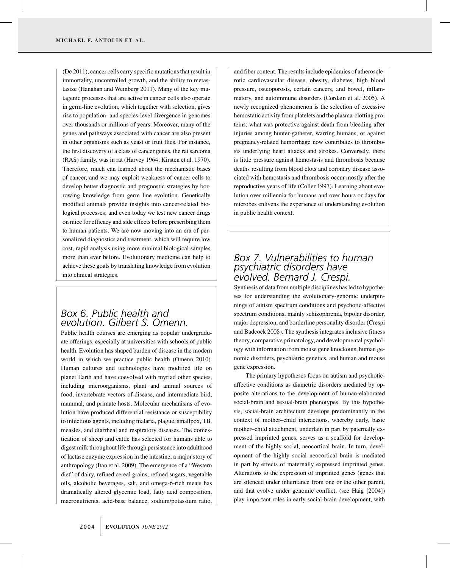(De 2011), cancer cells carry specific mutations that result in immortality, uncontrolled growth, and the ability to metastasize (Hanahan and Weinberg 2011). Many of the key mutagenic processes that are active in cancer cells also operate in germ-line evolution, which together with selection, gives rise to population- and species-level divergence in genomes over thousands or millions of years. Moreover, many of the genes and pathways associated with cancer are also present in other organisms such as yeast or fruit flies. For instance, the first discovery of a class of cancer genes, the rat sarcoma (RAS) family, was in rat (Harvey 1964; Kirsten et al. 1970). Therefore, much can learned about the mechanistic bases of cancer, and we may exploit weakness of cancer cells to develop better diagnostic and prognostic strategies by borrowing knowledge from germ line evolution. Genetically modified animals provide insights into cancer-related biological processes; and even today we test new cancer drugs on mice for efficacy and side effects before prescribing them to human patients. We are now moving into an era of personalized diagnostics and treatment, which will require low cost, rapid analysis using more minimal biological samples more than ever before. Evolutionary medicine can help to achieve these goals by translating knowledge from evolution into clinical strategies.

### *Box 6. Public health and evolution. Gilbert S. Omenn.*

Public health courses are emerging as popular undergraduate offerings, especially at universities with schools of public health. Evolution has shaped burden of disease in the modern world in which we practice public health (Omenn 2010). Human cultures and technologies have modified life on planet Earth and have coevolved with myriad other species, including microorganisms, plant and animal sources of food, invertebrate vectors of disease, and intermediate bird, mammal, and primate hosts. Molecular mechanisms of evolution have produced differential resistance or susceptibility to infectious agents, including malaria, plague, smallpox, TB, measles, and diarrheal and respiratory diseases. The domestication of sheep and cattle has selected for humans able to digest milk throughout life through persistence into adulthood of lactase enzyme expression in the intestine, a major story of anthropology (Itan et al. 2009). The emergence of a "Western diet" of dairy, refined cereal grains, refined sugars, vegetable oils, alcoholic beverages, salt, and omega-6-rich meats has dramatically altered glycemic load, fatty acid composition, macronutrients, acid-base balance, sodium/potassium ratio, and fiber content. The results include epidemics of atherosclerotic cardiovascular disease, obesity, diabetes, high blood pressure, osteoporosis, certain cancers, and bowel, inflammatory, and autoimmune disorders (Cordain et al. 2005). A newly recognized phenomenon is the selection of excessive hemostatic activity from platelets and the plasma-clotting proteins; what was protective against death from bleeding after injuries among hunter-gatherer, warring humans, or against pregnancy-related hemorrhage now contributes to thrombosis underlying heart attacks and strokes. Conversely, there is little pressure against hemostasis and thrombosis because deaths resulting from blood clots and coronary disease associated with hemostasis and thrombosis occur mostly after the reproductive years of life (Coller 1997). Learning about evolution over millennia for humans and over hours or days for microbes enlivens the experience of understanding evolution in public health context.

### *Box 7. Vulnerabilities to human psychiatric disorders have evolved. Bernard J. Crespi.*

Synthesis of data from multiple disciplines has led to hypotheses for understanding the evolutionary-genomic underpinnings of autism spectrum conditions and psychotic-affective spectrum conditions, mainly schizophrenia, bipolar disorder, major depression, and borderline personality disorder (Crespi and Badcock 2008). The synthesis integrates inclusive fitness theory, comparative primatology, and developmental psychology with information from mouse gene knockouts, human genomic disorders, psychiatric genetics, and human and mouse gene expression.

The primary hypotheses focus on autism and psychoticaffective conditions as diametric disorders mediated by opposite alterations to the development of human-elaborated social-brain and sexual-brain phenotypes. By this hypothesis, social-brain architecture develops predominantly in the context of mother–child interactions, whereby early, basic mother–child attachment, underlain in part by paternally expressed imprinted genes, serves as a scaffold for development of the highly social, neocortical brain. In turn, development of the highly social neocortical brain is mediated in part by effects of maternally expressed imprinted genes. Alterations to the expression of imprinted genes (genes that are silenced under inheritance from one or the other parent, and that evolve under genomic conflict, (see Haig [2004]) play important roles in early social-brain development, with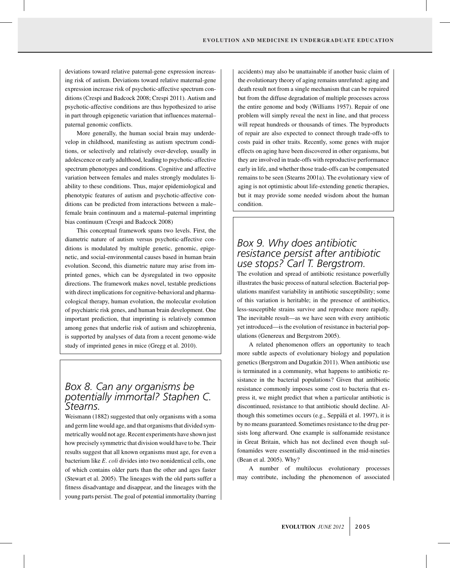deviations toward relative paternal-gene expression increasing risk of autism. Deviations toward relative maternal-gene expression increase risk of psychotic-affective spectrum conditions (Crespi and Badcock 2008; Crespi 2011). Autism and psychotic-affective conditions are thus hypothesized to arise in part through epigenetic variation that influences maternal– paternal genomic conflicts.

More generally, the human social brain may underdevelop in childhood, manifesting as autism spectrum conditions, or selectively and relatively over-develop, usually in adolescence or early adulthood, leading to psychotic-affective spectrum phenotypes and conditions. Cognitive and affective variation between females and males strongly modulates liability to these conditions. Thus, major epidemiological and phenotypic features of autism and psychotic-affective conditions can be predicted from interactions between a male– female brain continuum and a maternal–paternal imprinting bias continuum (Crespi and Badcock 2008)

This conceptual framework spans two levels. First, the diametric nature of autism versus psychotic-affective conditions is modulated by multiple genetic, genomic, epigenetic, and social-environmental causes based in human brain evolution. Second, this diametric nature may arise from imprinted genes, which can be dysregulated in two opposite directions. The framework makes novel, testable predictions with direct implications for cognitive-behavioral and pharmacological therapy, human evolution, the molecular evolution of psychiatric risk genes, and human brain development. One important prediction, that imprinting is relatively common among genes that underlie risk of autism and schizophrenia, is supported by analyses of data from a recent genome-wide study of imprinted genes in mice (Gregg et al. 2010).

# *Box 8. Can any organisms be potentially immortal? Staphen C. Stearns.*

Weismann (1882) suggested that only organisms with a soma and germ line would age, and that organisms that divided symmetrically would not age. Recent experiments have shown just how precisely symmetric that division would have to be. Their results suggest that all known organisms must age, for even a bacterium like *E. coli* divides into two nonidentical cells, one of which contains older parts than the other and ages faster (Stewart et al. 2005). The lineages with the old parts suffer a fitness disadvantage and disappear, and the lineages with the young parts persist. The goal of potential immortality (barring accidents) may also be unattainable if another basic claim of the evolutionary theory of aging remains unrefuted: aging and death result not from a single mechanism that can be repaired but from the diffuse degradation of multiple processes across the entire genome and body (Williams 1957). Repair of one problem will simply reveal the next in line, and that process will repeat hundreds or thousands of times. The byproducts of repair are also expected to connect through trade-offs to costs paid in other traits. Recently, some genes with major effects on aging have been discovered in other organisms, but they are involved in trade-offs with reproductive performance early in life, and whether those trade-offs can be compensated remains to be seen (Stearns 2001a). The evolutionary view of aging is not optimistic about life-extending genetic therapies, but it may provide some needed wisdom about the human condition.

# *Box 9. Why does antibiotic resistance persist after antibiotic use stops? Carl T. Bergstrom.*

The evolution and spread of antibiotic resistance powerfully illustrates the basic process of natural selection. Bacterial populations manifest variability in antibiotic susceptibility; some of this variation is heritable; in the presence of antibiotics, less-susceptible strains survive and reproduce more rapidly. The inevitable result—as we have seen with every antibiotic yet introduced—is the evolution of resistance in bacterial populations (Genereux and Bergstrom 2005).

A related phenomenon offers an opportunity to teach more subtle aspects of evolutionary biology and population genetics (Bergstrom and Dugatkin 2011). When antibiotic use is terminated in a community, what happens to antibiotic resistance in the bacterial populations? Given that antibiotic resistance commonly imposes some cost to bacteria that express it, we might predict that when a particular antibiotic is discontinued, resistance to that antibiotic should decline. Although this sometimes occurs (e.g., Seppälä et al. 1997), it is by no means guaranteed. Sometimes resistance to the drug persists long afterward. One example is sulfonamide resistance in Great Britain, which has not declined even though sulfonamides were essentially discontinued in the mid-nineties (Bean et al. 2005). Why?

A number of multilocus evolutionary processes may contribute, including the phenomenon of associated